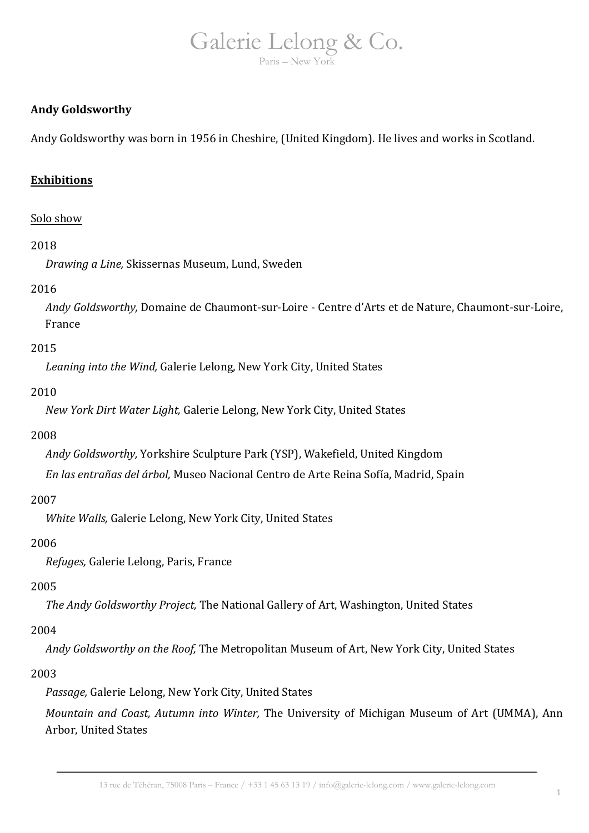## **Andy Goldsworthy**

Andy Goldsworthy was born in 1956 in Cheshire, (United Kingdom). He lives and works in Scotland.

## **Exhibitions**

#### Solo show

#### 2018

*Drawing a Line,* Skissernas Museum, Lund, Sweden

#### 2016

*Andy Goldsworthy,* Domaine de Chaumont-sur-Loire - Centre d'Arts et de Nature, Chaumont-sur-Loire, France

#### 2015

*Leaning into the Wind,* Galerie Lelong, New York City, United States

#### 2010

*New York Dirt Water Light,* Galerie Lelong, New York City, United States

#### 2008

*Andy Goldsworthy,* Yorkshire Sculpture Park (YSP), Wakefield, United Kingdom

*En las entrañas del árbol,* Museo Nacional Centro de Arte Reina Sofía, Madrid, Spain

#### 2007

*White Walls,* Galerie Lelong, New York City, United States

#### 2006

*Refuges,* Galerie Lelong, Paris, France

#### 2005

*The Andy Goldsworthy Project,* The National Gallery of Art, Washington, United States

#### 2004

*Andy Goldsworthy on the Roof,* The Metropolitan Museum of Art, New York City, United States

#### 2003

*Passage,* Galerie Lelong, New York City, United States

*Mountain and Coast, Autumn into Winter,* The University of Michigan Museum of Art (UMMA), Ann Arbor, United States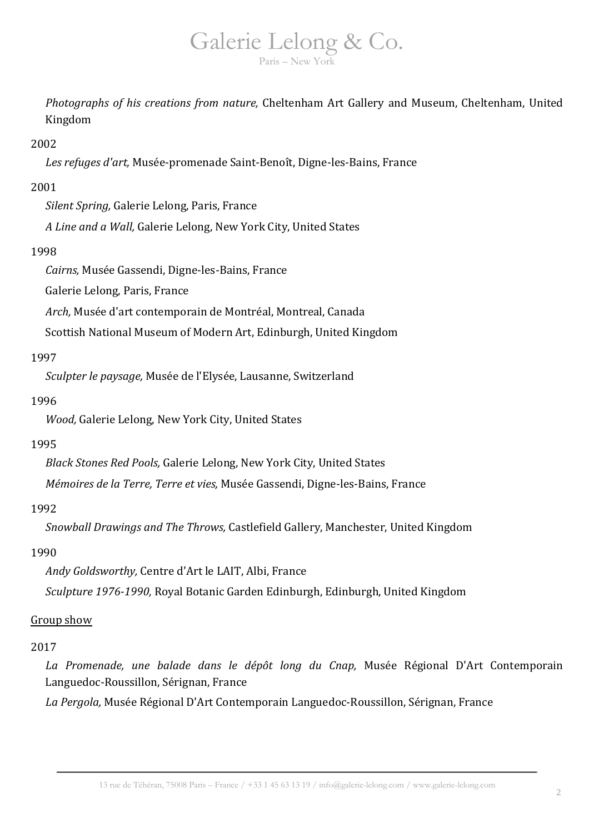*Photographs of his creations from nature,* Cheltenham Art Gallery and Museum, Cheltenham, United Kingdom

## 2002

*Les refuges d'art,* Musée-promenade Saint-Benoît, Digne-les-Bains, France

#### 2001

*Silent Spring,* Galerie Lelong, Paris, France

*A Line and a Wall,* Galerie Lelong, New York City, United States

# 1998

*Cairns,* Musée Gassendi, Digne-les-Bains, France

Galerie Lelong, Paris, France

*Arch,* Musée d'art contemporain de Montréal, Montreal, Canada

Scottish National Museum of Modern Art, Edinburgh, United Kingdom

## 1997

*Sculpter le paysage,* Musée de l'Elysée, Lausanne, Switzerland

## 1996

*Wood,* Galerie Lelong, New York City, United States

#### 1995

*Black Stones Red Pools,* Galerie Lelong, New York City, United States

*Mémoires de la Terre, Terre et vies,* Musée Gassendi, Digne-les-Bains, France

# 1992

*Snowball Drawings and The Throws,* Castlefield Gallery, Manchester, United Kingdom

#### 1990

*Andy Goldsworthy,* Centre d'Art le LAIT, Albi, France

*Sculpture 1976-1990,* Royal Botanic Garden Edinburgh, Edinburgh, United Kingdom

# Group show

# 2017

*La Promenade, une balade dans le dépôt long du Cnap,* Musée Régional D'Art Contemporain Languedoc-Roussillon, Sérignan, France

*La Pergola,* Musée Régional D'Art Contemporain Languedoc-Roussillon, Sérignan, France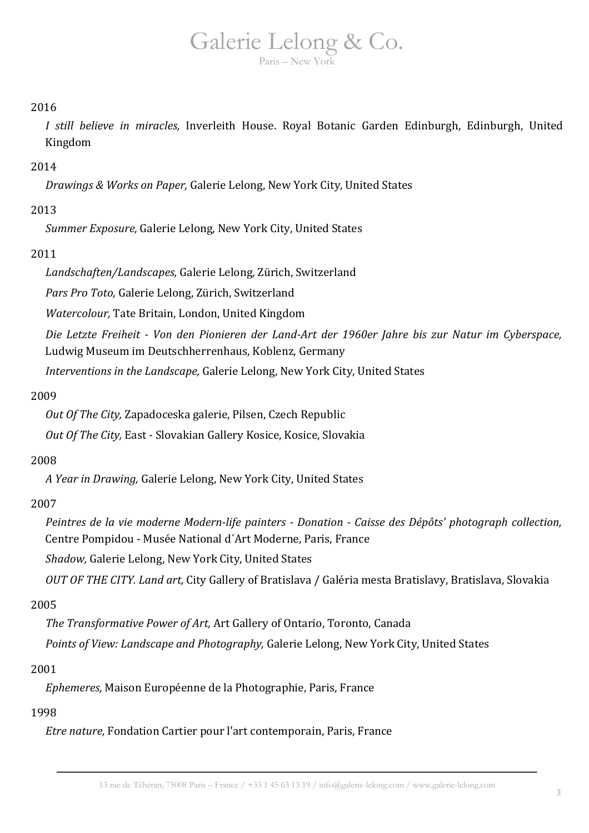# Galerie Lelong & Co.

Paris – New York

# 2016

*I still believe in miracles,* Inverleith House. Royal Botanic Garden Edinburgh, Edinburgh, United Kingdom

# 2014

*Drawings & Works on Paper,* Galerie Lelong, New York City, United States

# 2013

*Summer Exposure,* Galerie Lelong, New York City, United States

# 2011

*Landschaften/Landscapes,* Galerie Lelong, Zürich, Switzerland

*Pars Pro Toto,* Galerie Lelong, Zürich, Switzerland

*Watercolour,* Tate Britain, London, United Kingdom

*Die Letzte Freiheit - Von den Pionieren der Land-Art der 1960er Jahre bis zur Natur im Cyberspace,* Ludwig Museum im Deutschherrenhaus, Koblenz, Germany

*Interventions in the Landscape,* Galerie Lelong, New York City, United States

# 2009

*Out Of The City,* Zapadoceska galerie, Pilsen, Czech Republic

*Out Of The City,* East - Slovakian Gallery Kosice, Kosice, Slovakia

# 2008

*A Year in Drawing,* Galerie Lelong, New York City, United States

# 2007

*Peintres de la vie moderne Modern-life painters - Donation - Caisse des Dépôts' photograph collection,* Centre Pompidou - Musée National d´Art Moderne, Paris, France

*Shadow,* Galerie Lelong, New York City, United States

*OUT OF THE CITY. Land art,* City Gallery of Bratislava / Galéria mesta Bratislavy, Bratislava, Slovakia

# 2005

*The Transformative Power of Art,* Art Gallery of Ontario, Toronto, Canada

*Points of View: Landscape and Photography,* Galerie Lelong, New York City, United States

# 2001

*Ephemeres,* Maison Européenne de la Photographie, Paris, France

# 1998

*Etre nature,* Fondation Cartier pour l'art contemporain, Paris, France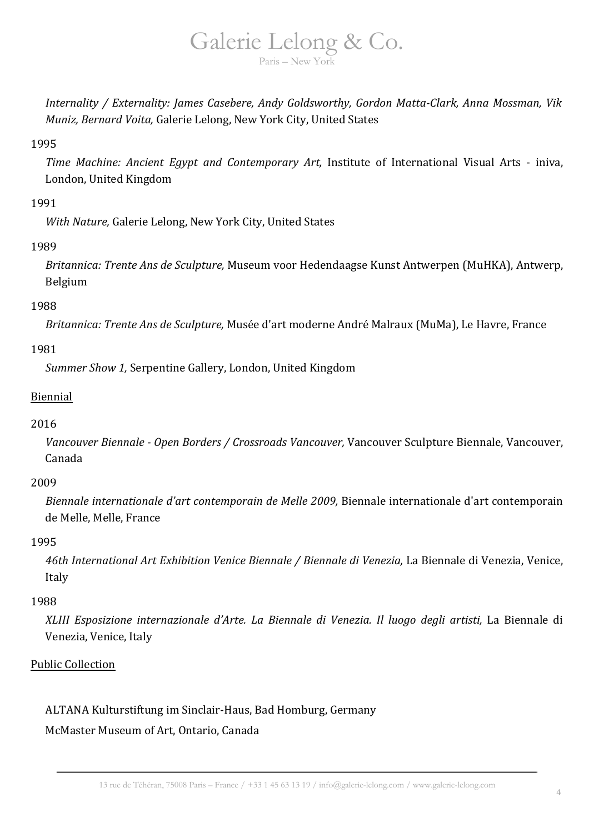*Internality / Externality: James Casebere, Andy Goldsworthy, Gordon Matta-Clark, Anna Mossman, Vik Muniz, Bernard Voita,* Galerie Lelong, New York City, United States

## 1995

*Time Machine: Ancient Egypt and Contemporary Art,* Institute of International Visual Arts - iniva, London, United Kingdom

# 1991

*With Nature,* Galerie Lelong, New York City, United States

# 1989

*Britannica: Trente Ans de Sculpture,* Museum voor Hedendaagse Kunst Antwerpen (MuHKA), Antwerp, Belgium

# 1988

*Britannica: Trente Ans de Sculpture,* Musée d'art moderne André Malraux (MuMa), Le Havre, France

# 1981

*Summer Show 1,* Serpentine Gallery, London, United Kingdom

# Biennial

# 2016

*Vancouver Biennale - Open Borders / Crossroads Vancouver,* Vancouver Sculpture Biennale, Vancouver, Canada

# 2009

*Biennale internationale d'art contemporain de Melle 2009,* Biennale internationale d'art contemporain de Melle, Melle, France

# 1995

*46th International Art Exhibition Venice Biennale / Biennale di Venezia,* La Biennale di Venezia, Venice, Italy

# 1988

*XLIII Esposizione internazionale d'Arte. La Biennale di Venezia. Il luogo degli artisti,* La Biennale di Venezia, Venice, Italy

# Public Collection

ALTANA Kulturstiftung im Sinclair-Haus, Bad Homburg, Germany

# McMaster Museum of Art, Ontario, Canada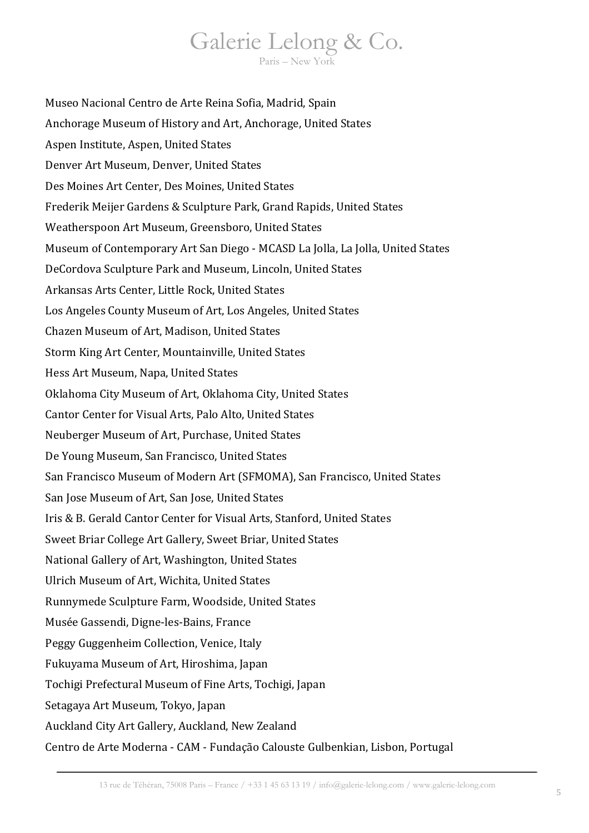Museo Nacional Centro de Arte Reina Sofia, Madrid, Spain Anchorage Museum of History and Art, Anchorage, United States Aspen Institute, Aspen, United States Denver Art Museum, Denver, United States Des Moines Art Center, Des Moines, United States Frederik Meijer Gardens & Sculpture Park, Grand Rapids, United States Weatherspoon Art Museum, Greensboro, United States Museum of Contemporary Art San Diego - MCASD La Jolla, La Jolla, United States DeCordova Sculpture Park and Museum, Lincoln, United States Arkansas Arts Center, Little Rock, United States Los Angeles County Museum of Art, Los Angeles, United States Chazen Museum of Art, Madison, United States Storm King Art Center, Mountainville, United States Hess Art Museum, Napa, United States Oklahoma City Museum of Art, Oklahoma City, United States Cantor Center for Visual Arts, Palo Alto, United States Neuberger Museum of Art, Purchase, United States De Young Museum, San Francisco, United States San Francisco Museum of Modern Art (SFMOMA), San Francisco, United States San Jose Museum of Art, San Jose, United States Iris & B. Gerald Cantor Center for Visual Arts, Stanford, United States Sweet Briar College Art Gallery, Sweet Briar, United States National Gallery of Art, Washington, United States Ulrich Museum of Art, Wichita, United States Runnymede Sculpture Farm, Woodside, United States Musée Gassendi, Digne-les-Bains, France Peggy Guggenheim Collection, Venice, Italy Fukuyama Museum of Art, Hiroshima, Japan Tochigi Prefectural Museum of Fine Arts, Tochigi, Japan Setagaya Art Museum, Tokyo, Japan Auckland City Art Gallery, Auckland, New Zealand Centro de Arte Moderna - CAM - Fundação Calouste Gulbenkian, Lisbon, Portugal